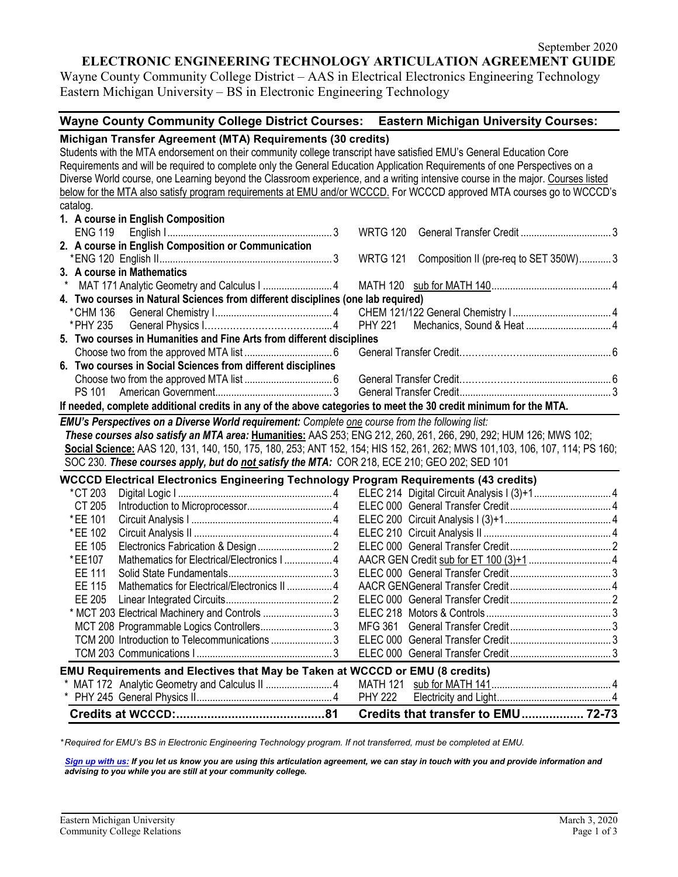## **ELECTRONIC ENGINEERING TECHNOLOGY ARTICULATION AGREEMENT GUIDE**

Wayne County Community College District – AAS in Electrical Electronics Engineering Technology Eastern Michigan University – BS in Electronic Engineering Technology

#### **Wayne County Community College District Courses: Eastern Michigan University Courses:**

# **Michigan Transfer Agreement (MTA) Requirements (30 credits)**

Students with the MTA endorsement on their community college transcript have satisfied EMU's General Education Core Requirements and will be required to complete only the General Education Application Requirements of one Perspectives on a Diverse World course, one Learning beyond the Classroom experience, and a writing intensive course in the major. Courses listed below for the MTA also satisfy program requirements at EMU and/or WCCCD. For WCCCD approved MTA courses go to WCCCD's catalog.

|                                                                                                                  | EMILLA Devenectives an a Diverse Maylel very inspect Complete and course from the following light |                                                              |  |  |  |  |
|------------------------------------------------------------------------------------------------------------------|---------------------------------------------------------------------------------------------------|--------------------------------------------------------------|--|--|--|--|
| If needed, complete additional credits in any of the above categories to meet the 30 credit minimum for the MTA. |                                                                                                   |                                                              |  |  |  |  |
|                                                                                                                  |                                                                                                   |                                                              |  |  |  |  |
|                                                                                                                  |                                                                                                   |                                                              |  |  |  |  |
|                                                                                                                  |                                                                                                   | 6. Two courses in Social Sciences from different disciplines |  |  |  |  |
|                                                                                                                  |                                                                                                   |                                                              |  |  |  |  |
|                                                                                                                  | 5. Two courses in Humanities and Fine Arts from different disciplines                             |                                                              |  |  |  |  |
|                                                                                                                  |                                                                                                   |                                                              |  |  |  |  |
|                                                                                                                  |                                                                                                   |                                                              |  |  |  |  |
|                                                                                                                  | 4. Two courses in Natural Sciences from different disciplines (one lab required)                  |                                                              |  |  |  |  |
|                                                                                                                  |                                                                                                   |                                                              |  |  |  |  |
|                                                                                                                  |                                                                                                   | 3. A course in Mathematics                                   |  |  |  |  |
|                                                                                                                  |                                                                                                   |                                                              |  |  |  |  |
|                                                                                                                  |                                                                                                   | 2. A course in English Composition or Communication          |  |  |  |  |
|                                                                                                                  |                                                                                                   |                                                              |  |  |  |  |
|                                                                                                                  |                                                                                                   | 1. A course in English Composition                           |  |  |  |  |

*EMU's Perspectives on a Diverse World requirement: Complete one course from the following list: These courses also satisfy an MTA area:* **Humanities:** AAS 253; ENG 212, 260, 261, 266, 290, 292; HUM 126; MWS 102; **Social Science:** AAS 120, 131, 140, 150, 175, 180, 253; ANT 152, 154; HIS 152, 261, 262; MWS 101,103, 106, 107, 114; PS 160; SOC 230. *These courses apply, but do not satisfy the MTA:* COR 218, ECE 210; GEO 202; SED 101

| <b>WCCCD Electrical Electronics Engineering Technology Program Requirements (43 credits)</b> |                                                                                     |  |  |  |
|----------------------------------------------------------------------------------------------|-------------------------------------------------------------------------------------|--|--|--|
| *CT 203                                                                                      |                                                                                     |  |  |  |
| CT 205                                                                                       |                                                                                     |  |  |  |
| *EE 101                                                                                      |                                                                                     |  |  |  |
| *EE 102                                                                                      |                                                                                     |  |  |  |
| EE 105                                                                                       |                                                                                     |  |  |  |
| *EE107                                                                                       |                                                                                     |  |  |  |
| EE 111                                                                                       |                                                                                     |  |  |  |
| EE 115                                                                                       |                                                                                     |  |  |  |
| EE 205                                                                                       |                                                                                     |  |  |  |
|                                                                                              | * MCT 203 Electrical Machinery and Controls 3                                       |  |  |  |
|                                                                                              | MCT 208 Programmable Logics Controllers3                                            |  |  |  |
|                                                                                              | TCM 200 Introduction to Telecommunications 3                                        |  |  |  |
|                                                                                              |                                                                                     |  |  |  |
|                                                                                              | <b>EMU Requirements and Electives that May be Taken at WCCCD or EMU (8 credits)</b> |  |  |  |
|                                                                                              |                                                                                     |  |  |  |
|                                                                                              |                                                                                     |  |  |  |
|                                                                                              |                                                                                     |  |  |  |

*\* Required for EMU's BS in Electronic Engineering Technology program. If not transferred, must be completed at EMU.* 

*[Sign up with us:](https://www.emich.edu/ccr/articulation-agreements/signup.php) If you let us know you are using this articulation agreement, we can stay in touch with you and provide information and advising to you while you are still at your community college.*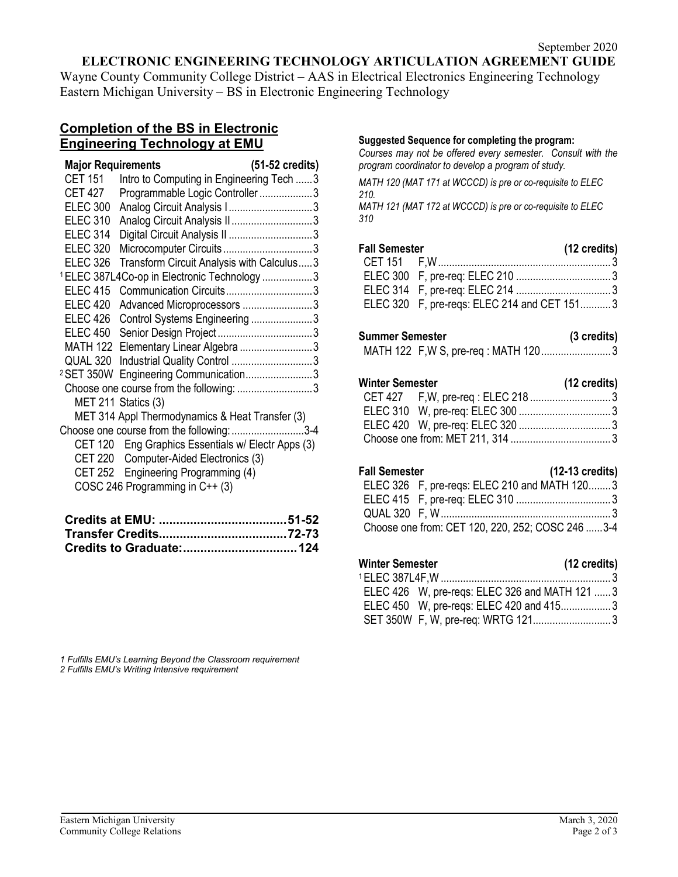# **ELECTRONIC ENGINEERING TECHNOLOGY ARTICULATION AGREEMENT GUIDE**

Wayne County Community College District – AAS in Electrical Electronics Engineering Technology Eastern Michigan University – BS in Electronic Engineering Technology

# **Completion of the BS in Electronic Engineering Technology at EMU**

| <b>Major Requirements</b> |                                                         | (51-52 credits) |
|---------------------------|---------------------------------------------------------|-----------------|
| CET 151                   | Intro to Computing in Engineering Tech 3                |                 |
| CET 427                   | Programmable Logic Controller 3                         |                 |
| <b>ELEC 300</b>           | Analog Circuit Analysis I3                              |                 |
| <b>ELEC 310</b>           | Analog Circuit Analysis II3                             |                 |
| <b>ELEC 314</b>           | Digital Circuit Analysis II 3                           |                 |
| <b>ELEC 320</b>           |                                                         |                 |
| <b>ELEC 326</b>           | Transform Circuit Analysis with Calculus3               |                 |
|                           | <sup>1</sup> ELEC 387L4Co-op in Electronic Technology 3 |                 |
| <b>ELEC 415</b>           | Communication Circuits3                                 |                 |
| <b>ELEC 420</b>           | Advanced Microprocessors 3                              |                 |
| <b>ELEC 426</b>           | Control Systems Engineering 3                           |                 |
| <b>ELEC 450</b>           |                                                         |                 |
|                           | MATH 122 Elementary Linear Algebra 3                    |                 |
|                           | QUAL 320 Industrial Quality Control 3                   |                 |
|                           | <sup>2</sup> SET 350W Engineering Communication3        |                 |
|                           |                                                         |                 |
|                           | MET 211 Statics (3)                                     |                 |
|                           | MET 314 Appl Thermodynamics & Heat Transfer (3)         |                 |
|                           | Choose one course from the following: 3-4               |                 |
|                           | CET 120 Eng Graphics Essentials w/ Electr Apps (3)      |                 |
| <b>CET 220</b>            | Computer-Aided Electronics (3)                          |                 |
|                           | CET 252 Engineering Programming (4)                     |                 |
|                           | COSC 246 Programming in C++ (3)                         |                 |

#### **Suggested Sequence for completing the program:**

*Courses may not be offered every semester. Consult with the program coordinator to develop a program of study.* 

*MATH 120 (MAT 171 at WCCCD) is pre or co-requisite to ELEC 210.*

*MATH 121 (MAT 172 at WCCCD) is pre or co-requisite to ELEC 310*

| (12 credits)<br><b>Fall Semester</b> |                                             |  |
|--------------------------------------|---------------------------------------------|--|
|                                      |                                             |  |
|                                      |                                             |  |
|                                      |                                             |  |
|                                      | ELEC 320 F, pre-regs: ELEC 214 and CET 1513 |  |

#### **Summer Semester (3 credits)**

MATH 122 F,W S, pre-req : MATH 120.........................3

# **Winter Semester (12 credits)**

#### **Fall Semester (12-13 credits)**

| ------------- | $\mathbf{y} = \mathbf{y} \mathbf{y} \mathbf{y} \mathbf{y}$ |  |
|---------------|------------------------------------------------------------|--|
|               | ELEC 326 F, pre-regs: ELEC 210 and MATH 1203               |  |
|               |                                                            |  |
|               |                                                            |  |
|               | Choose one from: CET 120, 220, 252; COSC 246 3-4           |  |

# **Winter Semester (12 credits)**

| ELEC 426 W, pre-regs: ELEC 326 and MATH 121 3 |  |
|-----------------------------------------------|--|
| ELEC 450 W, pre-regs: ELEC 420 and 4153       |  |
| SET 350W F, W, pre-req: WRTG 1213             |  |

*1 Fulfills EMU's Learning Beyond the Classroom requirement 2 Fulfills EMU's Writing Intensive requirement*